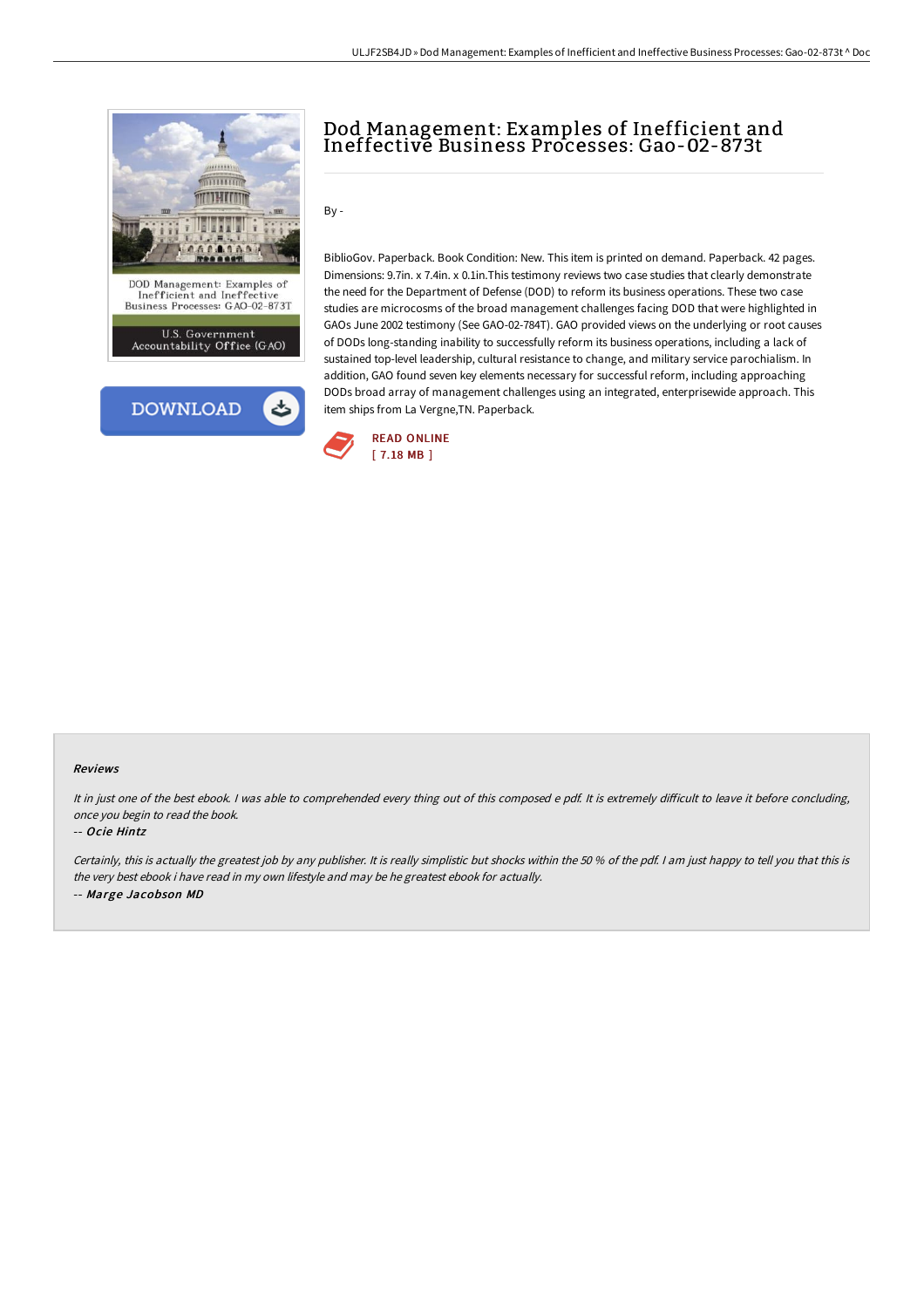

## Dod Management: Examples of Inefficient and Ineffective Business Processes: Gao-02-873t

By -

BiblioGov. Paperback. Book Condition: New. This item is printed on demand. Paperback. 42 pages. Dimensions: 9.7in. x 7.4in. x 0.1in.This testimony reviews two case studies that clearly demonstrate the need for the Department of Defense (DOD) to reform its business operations. These two case studies are microcosms of the broad management challenges facing DOD that were highlighted in GAOs June 2002 testimony (See GAO-02-784T). GAO provided views on the underlying or root causes of DODs long-standing inability to successfully reform its business operations, including a lack of sustained top-level leadership, cultural resistance to change, and military service parochialism. In addition, GAO found seven key elements necessary for successful reform, including approaching DODs broad array of management challenges using an integrated, enterprisewide approach. This item ships from La Vergne,TN. Paperback.



## Reviews

It in just one of the best ebook. I was able to comprehended every thing out of this composed e pdf. It is extremely difficult to leave it before concluding, once you begin to read the book.

## -- Ocie Hintz

Certainly, this is actually the greatest job by any publisher. It is really simplistic but shocks within the 50 % of the pdf. I am just happy to tell you that this is the very best ebook i have read in my own lifestyle and may be he greatest ebook for actually. -- Marge Jacobson MD